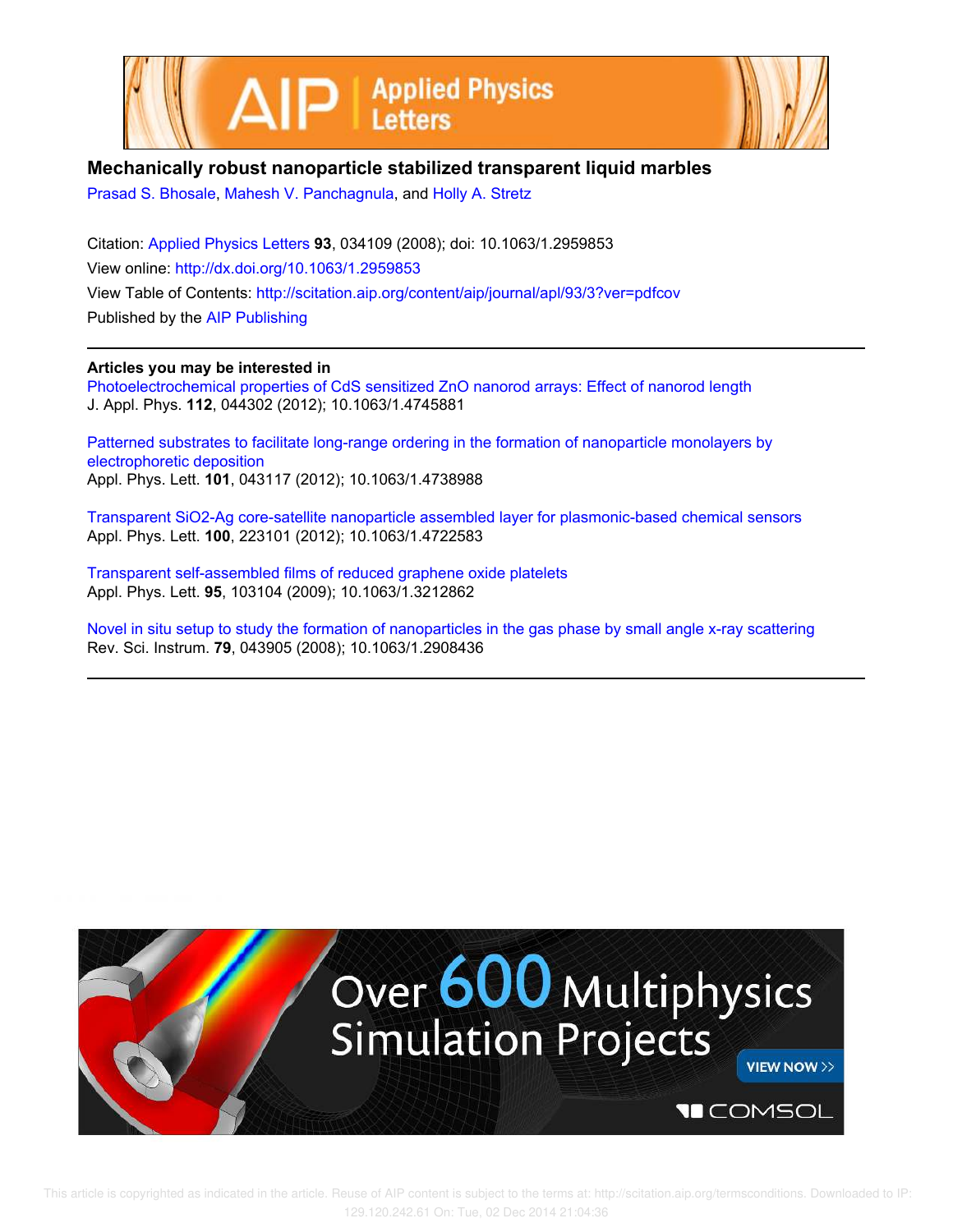



## **Mechanically robust nanoparticle stabilized transparent liquid marbles**

Prasad S. Bhosale, Mahesh V. Panchagnula, and Holly A. Stretz

Citation: Applied Physics Letters **93**, 034109 (2008); doi: 10.1063/1.2959853 View online: http://dx.doi.org/10.1063/1.2959853 View Table of Contents: http://scitation.aip.org/content/aip/journal/apl/93/3?ver=pdfcov Published by the AIP Publishing

## **Articles you may be interested in**

Photoelectrochemical properties of CdS sensitized ZnO nanorod arrays: Effect of nanorod length J. Appl. Phys. **112**, 044302 (2012); 10.1063/1.4745881

Patterned substrates to facilitate long-range ordering in the formation of nanoparticle monolayers by electrophoretic deposition Appl. Phys. Lett. **101**, 043117 (2012); 10.1063/1.4738988

Transparent SiO2-Ag core-satellite nanoparticle assembled layer for plasmonic-based chemical sensors Appl. Phys. Lett. **100**, 223101 (2012); 10.1063/1.4722583

Transparent self-assembled films of reduced graphene oxide platelets Appl. Phys. Lett. **95**, 103104 (2009); 10.1063/1.3212862

Novel in situ setup to study the formation of nanoparticles in the gas phase by small angle x-ray scattering Rev. Sci. Instrum. **79**, 043905 (2008); 10.1063/1.2908436

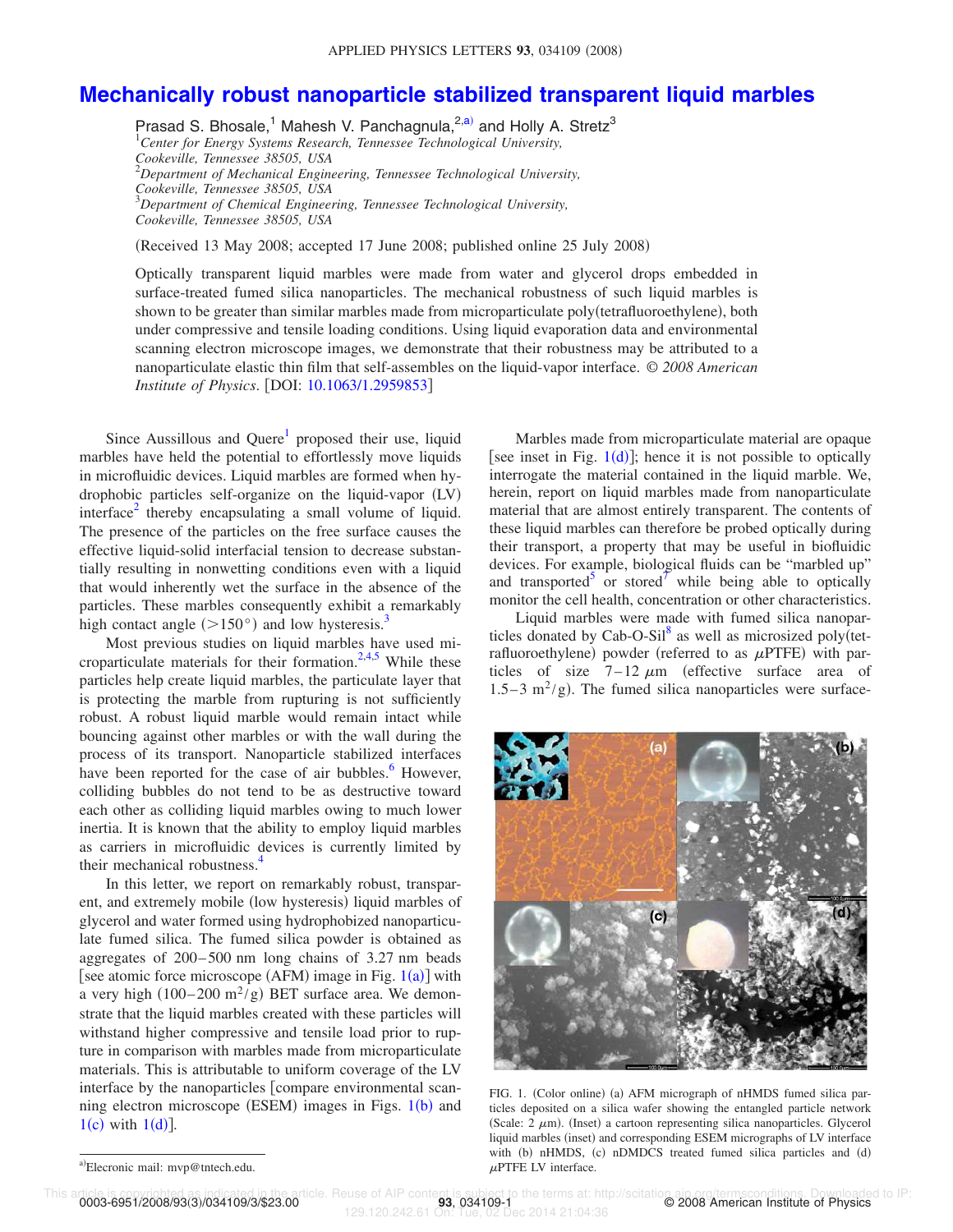## **Mechanically robust nanoparticle stabilized transparent liquid marbles**

Prasad S. Bhosale,<sup>1</sup> Mahesh V. Panchagnula,<sup>2,a)</sup> and Holly A. Stretz<sup>3</sup> <sup>1</sup>*Center for Energy Systems Research, Tennessee Technological University, Cookeville, Tennessee 38505, USA* <sup>2</sup>*Department of Mechanical Engineering, Tennessee Technological University, Cookeville, Tennessee 38505, USA* <sup>3</sup>*Department of Chemical Engineering, Tennessee Technological University, Cookeville, Tennessee 38505, USA*

Received 13 May 2008; accepted 17 June 2008; published online 25 July 2008-

Optically transparent liquid marbles were made from water and glycerol drops embedded in surface-treated fumed silica nanoparticles. The mechanical robustness of such liquid marbles is shown to be greater than similar marbles made from microparticulate poly (tetrafluoroethylene), both under compressive and tensile loading conditions. Using liquid evaporation data and environmental scanning electron microscope images, we demonstrate that their robustness may be attributed to a nanoparticulate elastic thin film that self-assembles on the liquid-vapor interface. © *2008 American Institute of Physics.* [DOI: 10.1063/1.2959853]

Since Aussillous and Quere<sup>1</sup> proposed their use, liquid marbles have held the potential to effortlessly move liquids in microfluidic devices. Liquid marbles are formed when hydrophobic particles self-organize on the liquid-vapor (LV) interface<sup>2</sup> thereby encapsulating a small volume of liquid. The presence of the particles on the free surface causes the effective liquid-solid interfacial tension to decrease substantially resulting in nonwetting conditions even with a liquid that would inherently wet the surface in the absence of the particles. These marbles consequently exhibit a remarkably high contact angle  $(>150^{\circ})$  and low hysteresis.<sup>3</sup>

Most previous studies on liquid marbles have used microparticulate materials for their formation.<sup>2,4,5</sup> While these particles help create liquid marbles, the particulate layer that is protecting the marble from rupturing is not sufficiently robust. A robust liquid marble would remain intact while bouncing against other marbles or with the wall during the process of its transport. Nanoparticle stabilized interfaces have been reported for the case of air bubbles. $6$  However, colliding bubbles do not tend to be as destructive toward each other as colliding liquid marbles owing to much lower inertia. It is known that the ability to employ liquid marbles as carriers in microfluidic devices is currently limited by their mechanical robustness.<sup>4</sup>

In this letter, we report on remarkably robust, transparent, and extremely mobile (low hysteresis) liquid marbles of glycerol and water formed using hydrophobized nanoparticulate fumed silica. The fumed silica powder is obtained as aggregates of 200–500 nm long chains of 3.27 nm beads [see atomic force microscope (AFM) image in Fig.  $1(a)$ ] with a very high  $(100-200 \text{ m}^2/\text{g})$  BET surface area. We demonstrate that the liquid marbles created with these particles will withstand higher compressive and tensile load prior to rupture in comparison with marbles made from microparticulate materials. This is attributable to uniform coverage of the LV interface by the nanoparticles  $[compare$  environmental scanning electron microscope (ESEM) images in Figs. 1(b) and  $1(c)$  with  $1(d)$ ].

Marbles made from microparticulate material are opaque [see inset in Fig.  $1(d)$ ]; hence it is not possible to optically interrogate the material contained in the liquid marble. We, herein, report on liquid marbles made from nanoparticulate material that are almost entirely transparent. The contents of these liquid marbles can therefore be probed optically during their transport, a property that may be useful in biofluidic devices. For example, biological fluids can be "marbled up" and transported<sup>5</sup> or stored<sup>7</sup> while being able to optically monitor the cell health, concentration or other characteristics.

Liquid marbles were made with fumed silica nanoparticles donated by Cab-O-Sil $^8$  as well as microsized poly(tetrafluoroethylene) powder (referred to as  $\mu$ PTFE) with particles of size  $7-12 \mu m$  (effective surface area of  $1.5-3$  m<sup>2</sup>/g). The fumed silica nanoparticles were surface-



FIG. 1. (Color online) (a) AFM micrograph of nHMDS fumed silica particles deposited on a silica wafer showing the entangled particle network (Scale:  $2 \mu m$ ). (Inset) a cartoon representing silica nanoparticles. Glycerol liquid marbles (inset) and corresponding ESEM micrographs of LV interface with (b) nHMDS, (c) nDMDCS treated fumed silica particles and (d)  $\mu$ PTFE LV interface.

0003-6951/2008/93(3)/034109/3/\$23.00

icle. Reuse of AIP content is subject to the terms at: http://scitation.aip.org/termsconditions. Downloaded to IP<br>C 2008 American Institute of Physics the terms at: http://scitation. 2014 21:04:36

a)Elecronic mail: mvp@tntech.edu.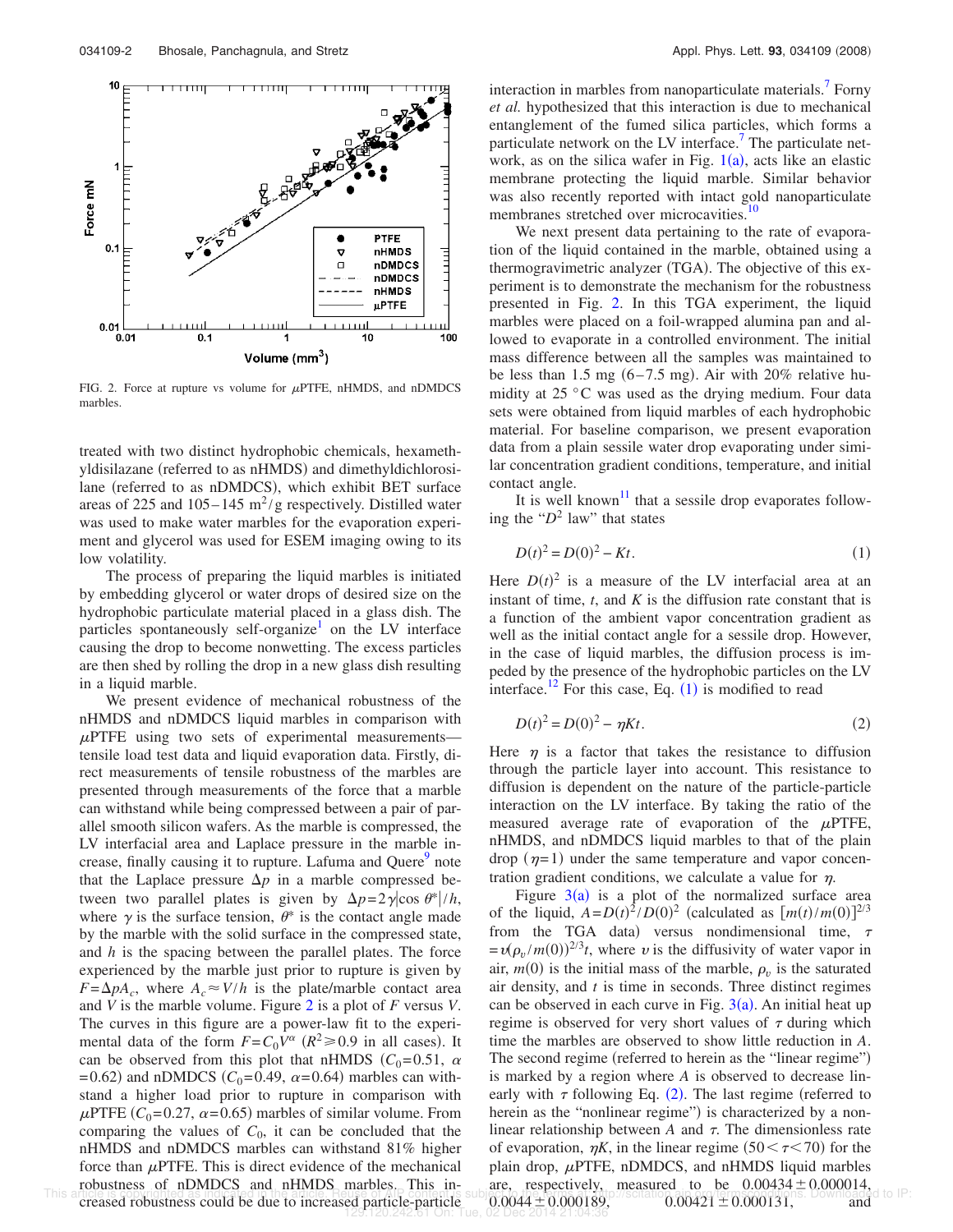

FIG. 2. Force at rupture vs volume for  $\mu$ PTFE, nHMDS, and nDMDCS marbles.

treated with two distinct hydrophobic chemicals, hexamethyldisilazane (referred to as nHMDS) and dimethyldichlorosilane (referred to as nDMDCS), which exhibit BET surface areas of 225 and  $105-145 \text{ m}^2/\text{g}$  respectively. Distilled water was used to make water marbles for the evaporation experiment and glycerol was used for ESEM imaging owing to its low volatility.

The process of preparing the liquid marbles is initiated by embedding glycerol or water drops of desired size on the hydrophobic particulate material placed in a glass dish. The particles spontaneously self-organize<sup>1</sup> on the LV interface causing the drop to become nonwetting. The excess particles are then shed by rolling the drop in a new glass dish resulting in a liquid marble.

We present evidence of mechanical robustness of the nHMDS and nDMDCS liquid marbles in comparison with  $\mu$ PTFE using two sets of experimental measurements tensile load test data and liquid evaporation data. Firstly, direct measurements of tensile robustness of the marbles are presented through measurements of the force that a marble can withstand while being compressed between a pair of parallel smooth silicon wafers. As the marble is compressed, the LV interfacial area and Laplace pressure in the marble increase, finally causing it to rupture. Lafuma and Quere<sup>9</sup> note that the Laplace pressure  $\Delta p$  in a marble compressed between two parallel plates is given by  $\Delta p = 2\gamma |\cos \theta^*|/h$ , where  $\gamma$  is the surface tension,  $\theta^*$  is the contact angle made by the marble with the solid surface in the compressed state, and *h* is the spacing between the parallel plates. The force experienced by the marble just prior to rupture is given by  $F = \Delta p A_c$ , where  $A_c \approx V/h$  is the plate/marble contact area and *V* is the marble volume. Figure 2 is a plot of *F* versus *V*. The curves in this figure are a power-law fit to the experimental data of the form  $F = C_0 V^\alpha$  ( $R^2 \ge 0.9$  in all cases). It can be observed from this plot that nHMDS  $(C_0=0.51, \alpha)$  $= 0.62$ ) and nDMDCS ( $C_0 = 0.49$ ,  $\alpha = 0.64$ ) marbles can withstand a higher load prior to rupture in comparison with  $\mu$ PTFE (*C*<sub>0</sub>=0.27,  $\alpha$ =0.65) marbles of similar volume. From comparing the values of  $C_0$ , it can be concluded that the nHMDS and nDMDCS marbles can withstand 81% higher force than  $\mu$ PTFE. This is direct evidence of the mechanical robustness of nDMDCS and nHMDS marbles. This in-

interaction in marbles from nanoparticulate materials.<sup>7</sup> Forny *et al.* hypothesized that this interaction is due to mechanical entanglement of the fumed silica particles, which forms a particulate network on the LV interface.<sup>7</sup> The particulate network, as on the silica wafer in Fig.  $1(a)$ , acts like an elastic membrane protecting the liquid marble. Similar behavior was also recently reported with intact gold nanoparticulate membranes stretched over microcavities.<sup>10</sup>

We next present data pertaining to the rate of evaporation of the liquid contained in the marble, obtained using a thermogravimetric analyzer (TGA). The objective of this experiment is to demonstrate the mechanism for the robustness presented in Fig. 2. In this TGA experiment, the liquid marbles were placed on a foil-wrapped alumina pan and allowed to evaporate in a controlled environment. The initial mass difference between all the samples was maintained to be less than  $1.5 \text{ mg } (6-7.5 \text{ mg})$ . Air with  $20\%$  relative humidity at 25 °C was used as the drying medium. Four data sets were obtained from liquid marbles of each hydrophobic material. For baseline comparison, we present evaporation data from a plain sessile water drop evaporating under similar concentration gradient conditions, temperature, and initial contact angle.

It is well known<sup>11</sup> that a sessile drop evaporates following the "*D* 2 law" that states

$$
D(t)^2 = D(0)^2 - Kt.
$$
 (1)

Here  $D(t)^2$  is a measure of the LV interfacial area at an instant of time,  $t$ , and  $K$  is the diffusion rate constant that is a function of the ambient vapor concentration gradient as well as the initial contact angle for a sessile drop. However, in the case of liquid marbles, the diffusion process is impeded by the presence of the hydrophobic particles on the LV interface.<sup>12</sup> For this case, Eq.  $(1)$  is modified to read

$$
D(t)^2 = D(0)^2 - \eta Kt.
$$
 (2)

Here  $\eta$  is a factor that takes the resistance to diffusion through the particle layer into account. This resistance to diffusion is dependent on the nature of the particle-particle interaction on the LV interface. By taking the ratio of the measured average rate of evaporation of the  $\mu$ PTFE, nHMDS, and nDMDCS liquid marbles to that of the plain drop  $(\eta=1)$  under the same temperature and vapor concentration gradient conditions, we calculate a value for  $\eta$ .

This anicle is considered as the article increased particle particle.  $0.0044 \pm 0.000189$ ,  $0.00421 \pm 0.000131$ , and Figure  $3(a)$  is a plot of the normalized surface area of the liquid,  $A = D(t)^2/D(0)^2$  (calculated as  $[m(t)/m(0)]^{2/3}$ from the TGA data) versus nondimensional time,  $\tau$  $= v(\rho_v/m(0))^{2/3}t$ , where v is the diffusivity of water vapor in air,  $m(0)$  is the initial mass of the marble,  $\rho_v$  is the saturated air density, and *t* is time in seconds. Three distinct regimes can be observed in each curve in Fig.  $3(a)$ . An initial heat up regime is observed for very short values of  $\tau$  during which time the marbles are observed to show little reduction in *A*. The second regime (referred to herein as the "linear regime") is marked by a region where *A* is observed to decrease linearly with  $\tau$  following Eq. (2). The last regime (referred to herein as the "nonlinear regime") is characterized by a nonlinear relationship between  $A$  and  $\tau$ . The dimensionless rate of evaporation,  $\eta K$ , in the linear regime (50  $\leq \tau \leq 70$ ) for the plain drop,  $\mu$ PTFE, nDMDCS, and nHMDS liquid marbles are, respectively, measured to be  $0.00434 \pm 0.000014$ ,  $0.0044 \pm 0.000189$ ,  $0.00421 \pm 0.000131$ , and 129.120.242.61 On: Tue, 02 Dec 2014 21:04:36